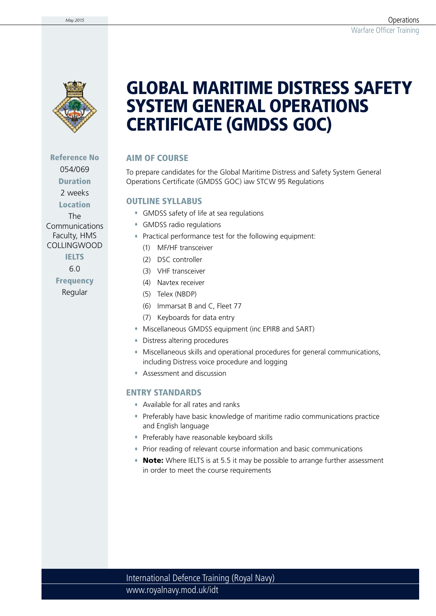

Reference No 054/069 Duration

2 weeks

Location

The **Communications** Faculty, HMS COLLINGWOOD

### IELTS

6.0

**Frequency** Regular

# GLOBAL MARITIME DISTRESS SAFETY SYSTEM GENERAL OPERATIONS CERTIFICATE (GMDSS GOC)

## AIM OF COURSE

To prepare candidates for the Global Maritime Distress and Safety System General Operations Certificate (GMDSS GOC) iaw STCW 95 Regulations

### OUTLINE SYLLABUS

- GMDSS safety of life at sea regulations
- GMDSS radio regulations
- Practical performance test for the following equipment:
	- (1) MF/HF transceiver
	- (2) DSC controller
	- (3) VHF transceiver
	- (4) Navtex receiver
	- (5) Telex (NBDP)
	- (6) Immarsat B and C, Fleet 77
	- (7) Keyboards for data entry
- Miscellaneous GMDSS equipment (inc EPIRB and SART)
- Distress altering procedures
- Miscellaneous skills and operational procedures for general communications, including Distress voice procedure and logging
- Assessment and discussion

### ENTRY STANDARDS

- Available for all rates and ranks
- Preferably have basic knowledge of maritime radio communications practice and English language
- Preferably have reasonable keyboard skills
- Prior reading of relevant course information and basic communications
- Note: Where IELTS is at 5.5 it may be possible to arrange further assessment in order to meet the course requirements